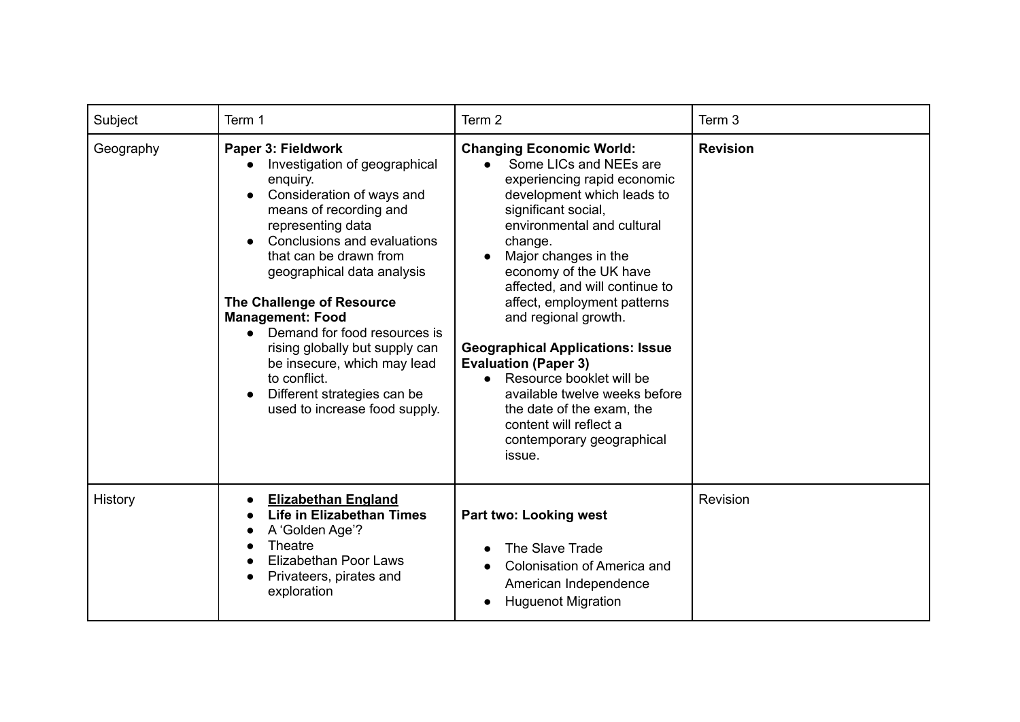| Subject   | Term 1                                                                                                                                                                                                                                                                                                                                                                                                                                                                                     | Term 2                                                                                                                                                                                                                                                                                                                                                                                                                                                                                                                                                                              | Term 3          |
|-----------|--------------------------------------------------------------------------------------------------------------------------------------------------------------------------------------------------------------------------------------------------------------------------------------------------------------------------------------------------------------------------------------------------------------------------------------------------------------------------------------------|-------------------------------------------------------------------------------------------------------------------------------------------------------------------------------------------------------------------------------------------------------------------------------------------------------------------------------------------------------------------------------------------------------------------------------------------------------------------------------------------------------------------------------------------------------------------------------------|-----------------|
| Geography | Paper 3: Fieldwork<br>Investigation of geographical<br>$\bullet$<br>enquiry.<br>Consideration of ways and<br>means of recording and<br>representing data<br>Conclusions and evaluations<br>that can be drawn from<br>geographical data analysis<br>The Challenge of Resource<br><b>Management: Food</b><br>• Demand for food resources is<br>rising globally but supply can<br>be insecure, which may lead<br>to conflict.<br>Different strategies can be<br>used to increase food supply. | <b>Changing Economic World:</b><br>Some LICs and NEEs are<br>$\bullet$<br>experiencing rapid economic<br>development which leads to<br>significant social,<br>environmental and cultural<br>change.<br>Major changes in the<br>economy of the UK have<br>affected, and will continue to<br>affect, employment patterns<br>and regional growth.<br><b>Geographical Applications: Issue</b><br><b>Evaluation (Paper 3)</b><br>Resource booklet will be<br>available twelve weeks before<br>the date of the exam, the<br>content will reflect a<br>contemporary geographical<br>issue. | <b>Revision</b> |
| History   | <b>Elizabethan England</b><br><b>Life in Elizabethan Times</b><br>A 'Golden Age'?<br><b>Theatre</b><br>Elizabethan Poor Laws<br>Privateers, pirates and<br>exploration                                                                                                                                                                                                                                                                                                                     | <b>Part two: Looking west</b><br>The Slave Trade<br>$\bullet$<br>Colonisation of America and<br>American Independence<br><b>Huguenot Migration</b>                                                                                                                                                                                                                                                                                                                                                                                                                                  | Revision        |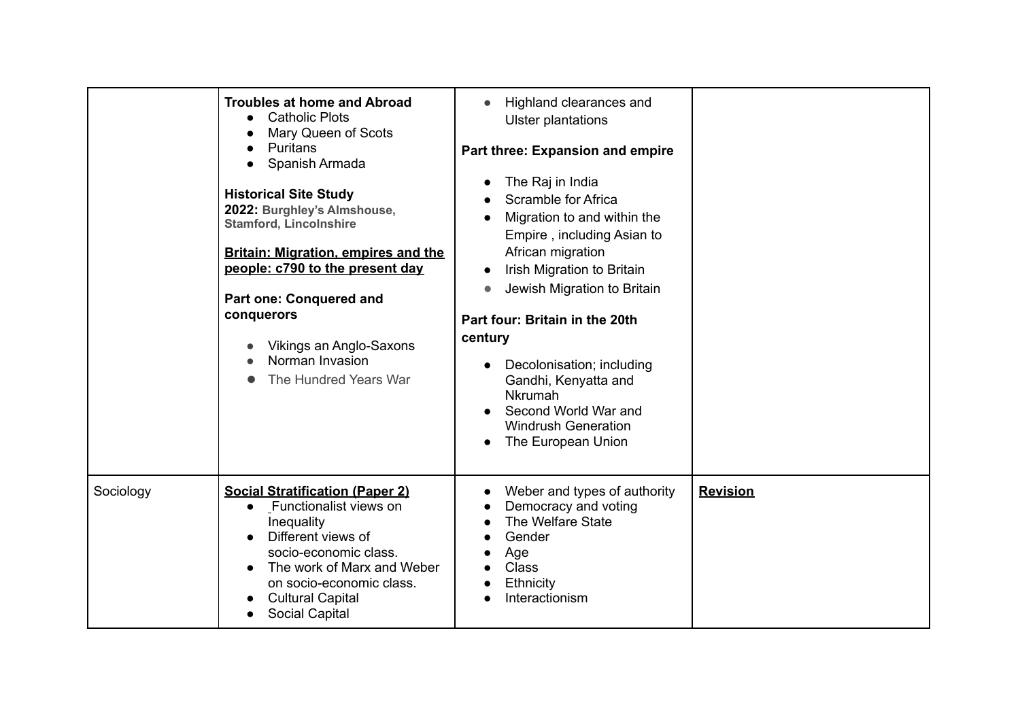|           | <b>Troubles at home and Abroad</b><br><b>Catholic Plots</b><br>$\bullet$<br>Mary Queen of Scots<br>Puritans<br>Spanish Armada<br><b>Historical Site Study</b><br>2022: Burghley's Almshouse,<br><b>Stamford, Lincolnshire</b><br><b>Britain: Migration, empires and the</b><br>people: c790 to the present day<br><b>Part one: Conquered and</b><br>conquerors<br>Vikings an Anglo-Saxons<br>Norman Invasion<br>The Hundred Years War | Highland clearances and<br>$\bullet$<br><b>Ulster plantations</b><br>Part three: Expansion and empire<br>The Raj in India<br>$\bullet$<br>Scramble for Africa<br>Migration to and within the<br>Empire, including Asian to<br>African migration<br>Irish Migration to Britain<br>Jewish Migration to Britain<br>$\bullet$<br>Part four: Britain in the 20th<br>century<br>Decolonisation; including<br>$\bullet$<br>Gandhi, Kenyatta and<br>Nkrumah<br>Second World War and<br><b>Windrush Generation</b><br>The European Union |                 |
|-----------|---------------------------------------------------------------------------------------------------------------------------------------------------------------------------------------------------------------------------------------------------------------------------------------------------------------------------------------------------------------------------------------------------------------------------------------|---------------------------------------------------------------------------------------------------------------------------------------------------------------------------------------------------------------------------------------------------------------------------------------------------------------------------------------------------------------------------------------------------------------------------------------------------------------------------------------------------------------------------------|-----------------|
| Sociology | <b>Social Stratification (Paper 2)</b><br>Functionalist views on<br>Inequality<br>Different views of<br>socio-economic class.<br>The work of Marx and Weber<br>on socio-economic class.<br><b>Cultural Capital</b><br><b>Social Capital</b>                                                                                                                                                                                           | Weber and types of authority<br>Democracy and voting<br>The Welfare State<br>Gender<br>Age<br>Class<br>Ethnicity<br>Interactionism                                                                                                                                                                                                                                                                                                                                                                                              | <b>Revision</b> |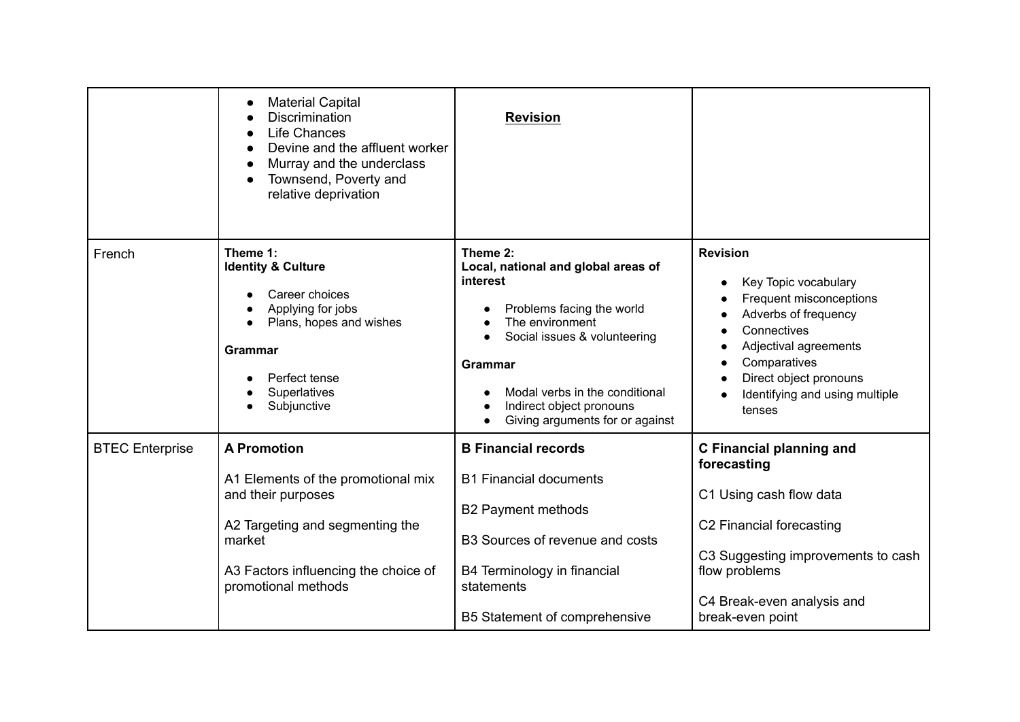|                        | <b>Material Capital</b><br>Discrimination<br>Life Chances<br>Devine and the affluent worker<br>Murray and the underclass<br>Townsend, Poverty and<br>relative deprivation                  | <b>Revision</b>                                                                                                                                                                                                                                                             |                                                                                                                                                                                                                          |
|------------------------|--------------------------------------------------------------------------------------------------------------------------------------------------------------------------------------------|-----------------------------------------------------------------------------------------------------------------------------------------------------------------------------------------------------------------------------------------------------------------------------|--------------------------------------------------------------------------------------------------------------------------------------------------------------------------------------------------------------------------|
| French                 | Theme 1:<br><b>Identity &amp; Culture</b><br>Career choices<br>Applying for jobs<br>Plans, hopes and wishes<br><b>Grammar</b><br>Perfect tense<br>Superlatives<br>Subjunctive              | Theme 2:<br>Local, national and global areas of<br>interest<br>Problems facing the world<br>The environment<br>Social issues & volunteering<br>$\bullet$<br><b>Grammar</b><br>Modal verbs in the conditional<br>Indirect object pronouns<br>Giving arguments for or against | <b>Revision</b><br>Key Topic vocabulary<br>Frequent misconceptions<br>Adverbs of frequency<br>Connectives<br>Adjectival agreements<br>Comparatives<br>Direct object pronouns<br>Identifying and using multiple<br>tenses |
| <b>BTEC</b> Enterprise | <b>A Promotion</b><br>A1 Elements of the promotional mix<br>and their purposes<br>A2 Targeting and segmenting the<br>market<br>A3 Factors influencing the choice of<br>promotional methods | <b>B Financial records</b><br><b>B1 Financial documents</b><br><b>B2 Payment methods</b><br>B3 Sources of revenue and costs<br>B4 Terminology in financial<br>statements<br>B5 Statement of comprehensive                                                                   | <b>C</b> Financial planning and<br>forecasting<br>C1 Using cash flow data<br>C2 Financial forecasting<br>C3 Suggesting improvements to cash<br>flow problems<br>C4 Break-even analysis and<br>break-even point           |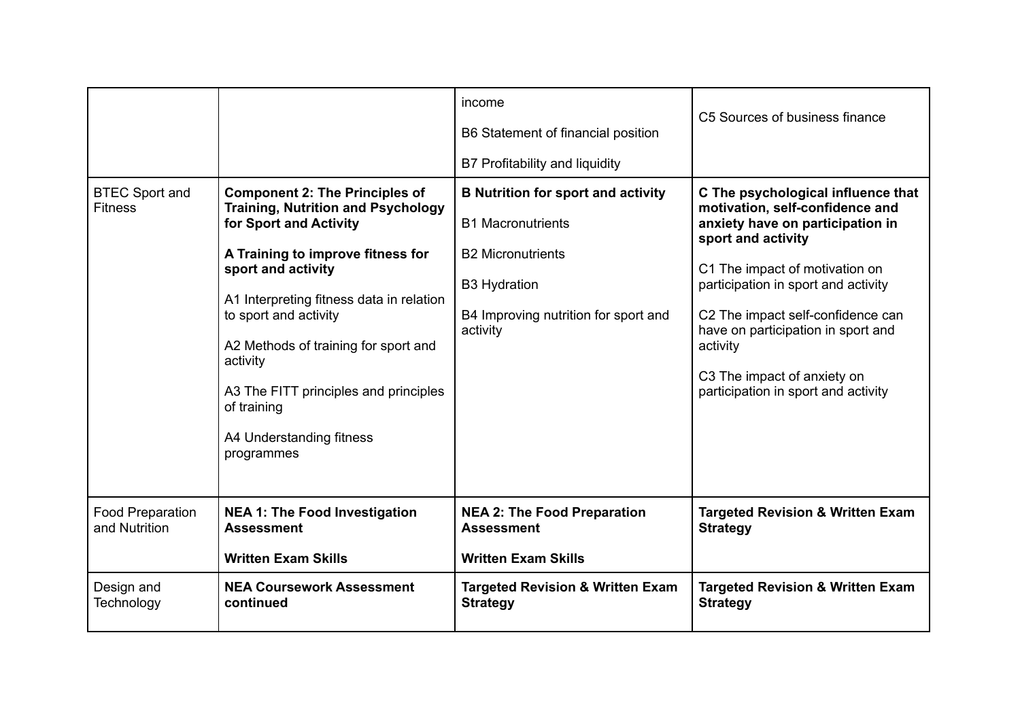| <b>BTEC Sport and</b><br><b>Fitness</b>  | <b>Component 2: The Principles of</b><br><b>Training, Nutrition and Psychology</b><br>for Sport and Activity<br>A Training to improve fitness for<br>sport and activity<br>A1 Interpreting fitness data in relation<br>to sport and activity<br>A2 Methods of training for sport and<br>activity<br>A3 The FITT principles and principles<br>of training<br>A4 Understanding fitness<br>programmes | income<br>B6 Statement of financial position<br>B7 Profitability and liquidity<br><b>B Nutrition for sport and activity</b><br><b>B1 Macronutrients</b><br><b>B2 Micronutrients</b><br><b>B3 Hydration</b><br>B4 Improving nutrition for sport and<br>activity | C5 Sources of business finance<br>C The psychological influence that<br>motivation, self-confidence and<br>anxiety have on participation in<br>sport and activity<br>C1 The impact of motivation on<br>participation in sport and activity<br>C2 The impact self-confidence can<br>have on participation in sport and<br>activity<br>C3 The impact of anxiety on<br>participation in sport and activity |
|------------------------------------------|----------------------------------------------------------------------------------------------------------------------------------------------------------------------------------------------------------------------------------------------------------------------------------------------------------------------------------------------------------------------------------------------------|----------------------------------------------------------------------------------------------------------------------------------------------------------------------------------------------------------------------------------------------------------------|---------------------------------------------------------------------------------------------------------------------------------------------------------------------------------------------------------------------------------------------------------------------------------------------------------------------------------------------------------------------------------------------------------|
| <b>Food Preparation</b><br>and Nutrition | <b>NEA 1: The Food Investigation</b><br><b>Assessment</b><br><b>Written Exam Skills</b>                                                                                                                                                                                                                                                                                                            | <b>NEA 2: The Food Preparation</b><br><b>Assessment</b><br><b>Written Exam Skills</b>                                                                                                                                                                          | <b>Targeted Revision &amp; Written Exam</b><br><b>Strategy</b>                                                                                                                                                                                                                                                                                                                                          |
| Design and<br>Technology                 | <b>NEA Coursework Assessment</b><br>continued                                                                                                                                                                                                                                                                                                                                                      | <b>Targeted Revision &amp; Written Exam</b><br><b>Strategy</b>                                                                                                                                                                                                 | <b>Targeted Revision &amp; Written Exam</b><br><b>Strategy</b>                                                                                                                                                                                                                                                                                                                                          |